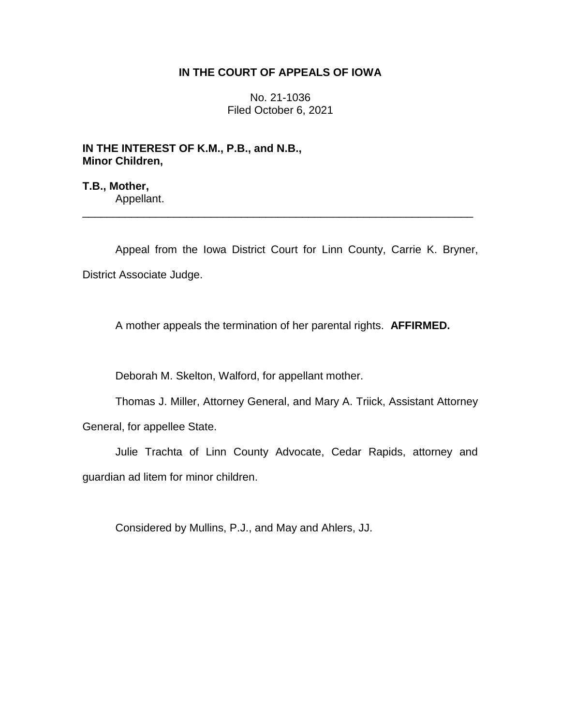## **IN THE COURT OF APPEALS OF IOWA**

No. 21-1036 Filed October 6, 2021

**IN THE INTEREST OF K.M., P.B., and N.B., Minor Children,**

**T.B., Mother,** Appellant.

Appeal from the Iowa District Court for Linn County, Carrie K. Bryner, District Associate Judge.

\_\_\_\_\_\_\_\_\_\_\_\_\_\_\_\_\_\_\_\_\_\_\_\_\_\_\_\_\_\_\_\_\_\_\_\_\_\_\_\_\_\_\_\_\_\_\_\_\_\_\_\_\_\_\_\_\_\_\_\_\_\_\_\_

A mother appeals the termination of her parental rights. **AFFIRMED.**

Deborah M. Skelton, Walford, for appellant mother.

Thomas J. Miller, Attorney General, and Mary A. Triick, Assistant Attorney General, for appellee State.

Julie Trachta of Linn County Advocate, Cedar Rapids, attorney and guardian ad litem for minor children.

Considered by Mullins, P.J., and May and Ahlers, JJ.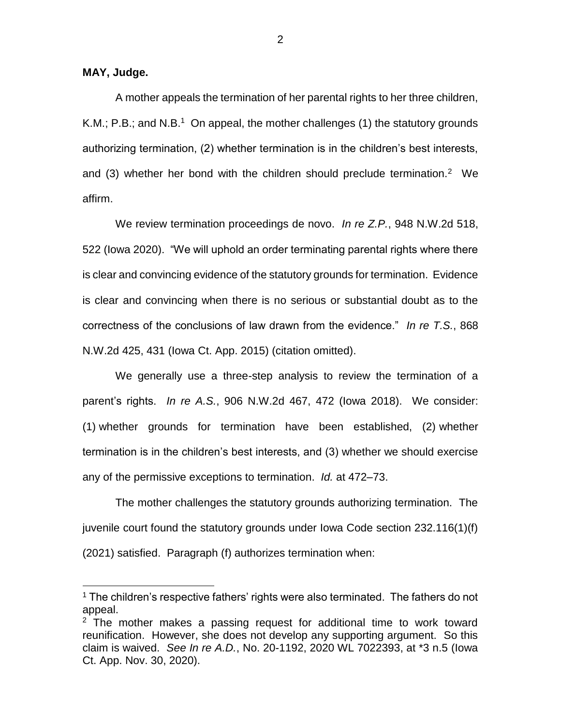**MAY, Judge.**

 $\overline{a}$ 

A mother appeals the termination of her parental rights to her three children, K.M.; P.B.; and N.B.<sup>1</sup> On appeal, the mother challenges (1) the statutory grounds authorizing termination, (2) whether termination is in the children's best interests, and (3) whether her bond with the children should preclude termination.<sup>2</sup> We affirm.

We review termination proceedings de novo. *In re Z.P.*, 948 N.W.2d 518, 522 (Iowa 2020). "We will uphold an order terminating parental rights where there is clear and convincing evidence of the statutory grounds for termination. Evidence is clear and convincing when there is no serious or substantial doubt as to the correctness of the conclusions of law drawn from the evidence." *In re T.S.*, 868 N.W.2d 425, 431 (Iowa Ct. App. 2015) (citation omitted).

We generally use a three-step analysis to review the termination of a parent's rights. *In re A.S.*, 906 N.W.2d 467, 472 (Iowa 2018). We consider: (1) whether grounds for termination have been established, (2) whether termination is in the children's best interests, and (3) whether we should exercise any of the permissive exceptions to termination. *Id.* at 472–73.

The mother challenges the statutory grounds authorizing termination. The juvenile court found the statutory grounds under Iowa Code section 232.116(1)(f) (2021) satisfied. Paragraph (f) authorizes termination when:

<sup>&</sup>lt;sup>1</sup> The children's respective fathers' rights were also terminated. The fathers do not appeal.

 $2$  The mother makes a passing request for additional time to work toward reunification. However, she does not develop any supporting argument. So this claim is waived. *See In re A.D.*, No. 20-1192, 2020 WL 7022393, at \*3 n.5 (Iowa Ct. App. Nov. 30, 2020).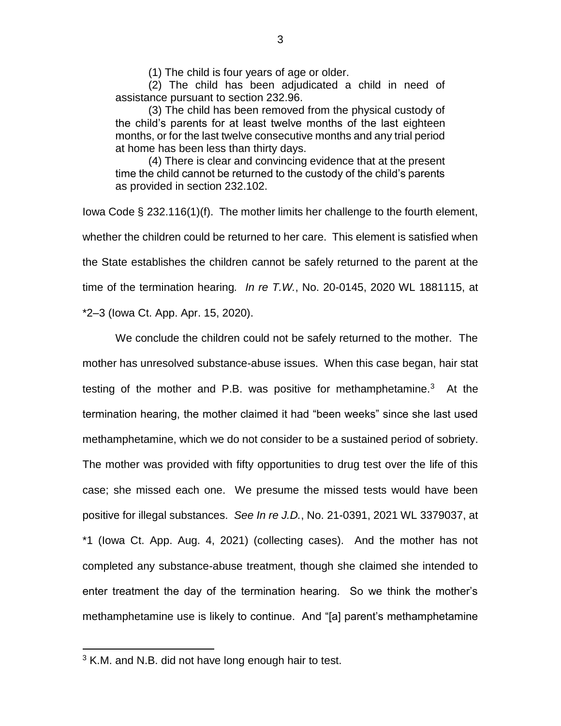(1) The child is four years of age or older.

(2) The child has been adjudicated a child in need of assistance pursuant to section 232.96.

(3) The child has been removed from the physical custody of the child's parents for at least twelve months of the last eighteen months, or for the last twelve consecutive months and any trial period at home has been less than thirty days.

(4) There is clear and convincing evidence that at the present time the child cannot be returned to the custody of the child's parents as provided in section 232.102.

Iowa Code § 232.116(1)(f). The mother limits her challenge to the fourth element, whether the children could be returned to her care. This element is satisfied when the State establishes the children cannot be safely returned to the parent at the time of the termination hearing*. In re T.W.*, No. 20-0145, 2020 WL 1881115, at \*2–3 (Iowa Ct. App. Apr. 15, 2020).

We conclude the children could not be safely returned to the mother. The mother has unresolved substance-abuse issues. When this case began, hair stat testing of the mother and P.B. was positive for methamphetamine.<sup>3</sup> At the termination hearing, the mother claimed it had "been weeks" since she last used methamphetamine, which we do not consider to be a sustained period of sobriety. The mother was provided with fifty opportunities to drug test over the life of this case; she missed each one. We presume the missed tests would have been positive for illegal substances. *See In re J.D.*, No. 21-0391, 2021 WL 3379037, at \*1 (Iowa Ct. App. Aug. 4, 2021) (collecting cases). And the mother has not completed any substance-abuse treatment, though she claimed she intended to enter treatment the day of the termination hearing. So we think the mother's methamphetamine use is likely to continue. And "[a] parent's methamphetamine

 $\overline{a}$ 

 $3$  K.M. and N.B. did not have long enough hair to test.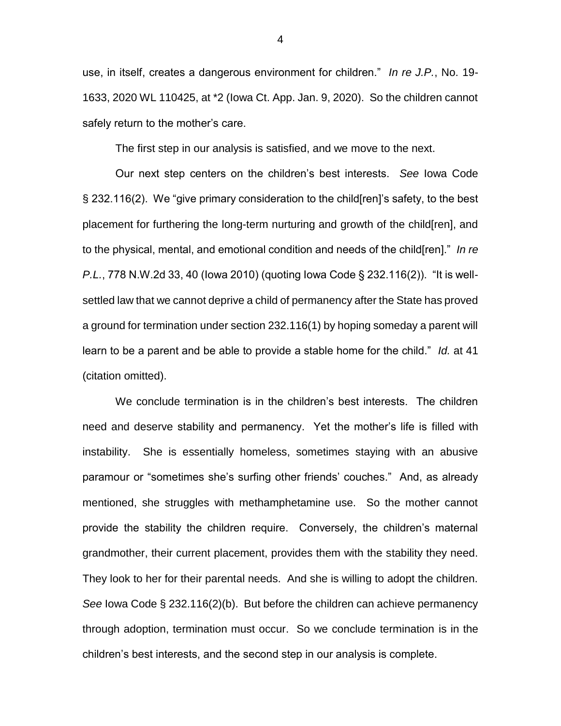use, in itself, creates a dangerous environment for children." *In re J.P.*, No. 19- 1633, 2020 WL 110425, at \*2 (Iowa Ct. App. Jan. 9, 2020). So the children cannot safely return to the mother's care.

The first step in our analysis is satisfied, and we move to the next.

Our next step centers on the children's best interests. *See* Iowa Code § 232.116(2). We "give primary consideration to the child[ren]'s safety, to the best placement for furthering the long-term nurturing and growth of the child[ren], and to the physical, mental, and emotional condition and needs of the child[ren]." *In re P.L.*, 778 N.W.2d 33, 40 (Iowa 2010) (quoting Iowa Code § 232.116(2)). "It is wellsettled law that we cannot deprive a child of permanency after the State has proved a ground for termination under section 232.116(1) by hoping someday a parent will learn to be a parent and be able to provide a stable home for the child." *Id.* at 41 (citation omitted).

We conclude termination is in the children's best interests. The children need and deserve stability and permanency. Yet the mother's life is filled with instability. She is essentially homeless, sometimes staying with an abusive paramour or "sometimes she's surfing other friends' couches." And, as already mentioned, she struggles with methamphetamine use. So the mother cannot provide the stability the children require. Conversely, the children's maternal grandmother, their current placement, provides them with the stability they need. They look to her for their parental needs. And she is willing to adopt the children. *See* Iowa Code § 232.116(2)(b). But before the children can achieve permanency through adoption, termination must occur. So we conclude termination is in the children's best interests, and the second step in our analysis is complete.